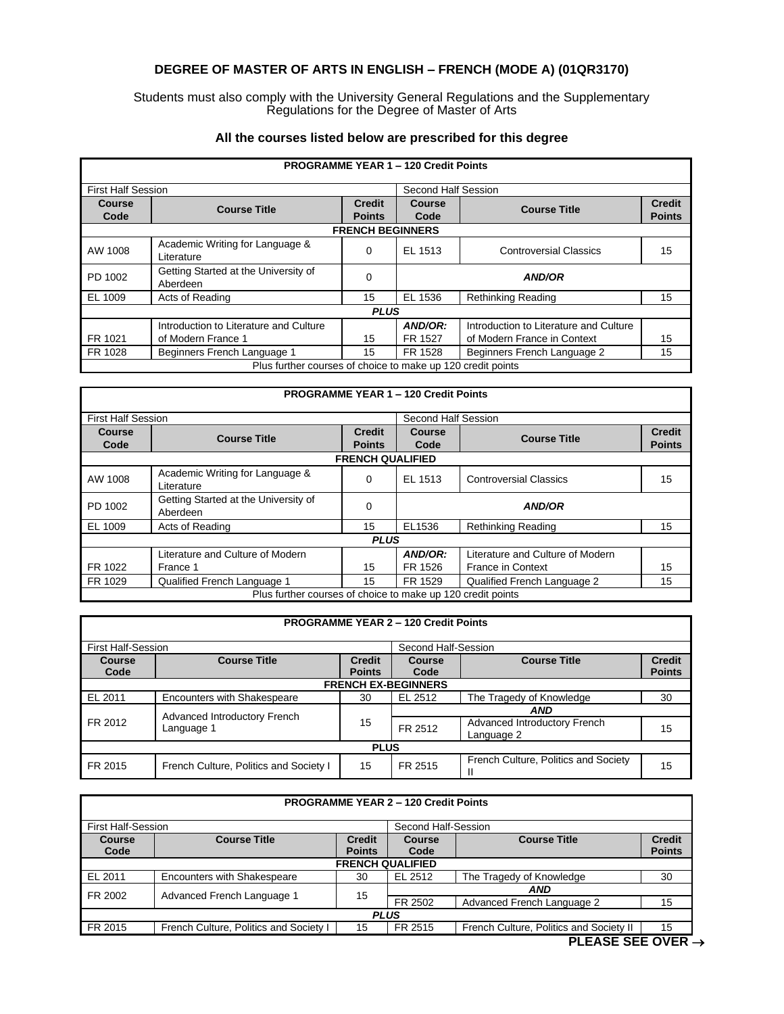## **DEGREE OF MASTER OF ARTS IN ENGLISH – FRENCH (MODE A) (01QR3170)**

Students must also comply with the University General Regulations and the Supplementary Regulations for the Degree of Master of Arts

| <b>PROGRAMME YEAR 1 - 120 Credit Points</b>                 |                                                  |                                |                     |                                        |                                |  |
|-------------------------------------------------------------|--------------------------------------------------|--------------------------------|---------------------|----------------------------------------|--------------------------------|--|
| <b>First Half Session</b>                                   |                                                  |                                | Second Half Session |                                        |                                |  |
| Course<br>Code                                              | <b>Course Title</b>                              | <b>Credit</b><br><b>Points</b> | Course<br>Code      | <b>Course Title</b>                    | <b>Credit</b><br><b>Points</b> |  |
|                                                             |                                                  | <b>FRENCH BEGINNERS</b>        |                     |                                        |                                |  |
| AW 1008                                                     | Academic Writing for Language &<br>Literature    | 0                              | EL 1513             | <b>Controversial Classics</b>          | 15                             |  |
| PD 1002                                                     | Getting Started at the University of<br>Aberdeen | 0                              |                     | <b>AND/OR</b>                          |                                |  |
| EL 1009                                                     | Acts of Reading                                  | 15                             | EL 1536             | <b>Rethinking Reading</b>              | 15                             |  |
|                                                             | <b>PLUS</b>                                      |                                |                     |                                        |                                |  |
|                                                             | Introduction to Literature and Culture           |                                | AND/OR:             | Introduction to Literature and Culture |                                |  |
| FR 1021                                                     | of Modern France 1                               | 15                             | FR 1527             | of Modern France in Context            | 15                             |  |
| FR 1028                                                     | Beginners French Language 1                      | 15                             | FR 1528             | Beginners French Language 2            | 15                             |  |
| Plus further courses of choice to make up 120 credit points |                                                  |                                |                     |                                        |                                |  |

## **All the courses listed below are prescribed for this degree**

| <b>PROGRAMME YEAR 1 - 120 Credit Points</b>                 |                                                  |                                |                |                                  |                                |
|-------------------------------------------------------------|--------------------------------------------------|--------------------------------|----------------|----------------------------------|--------------------------------|
| <b>First Half Session</b>                                   |                                                  | Second Half Session            |                |                                  |                                |
| <b>Course</b><br>Code                                       | <b>Course Title</b>                              | <b>Credit</b><br><b>Points</b> | Course<br>Code | <b>Course Title</b>              | <b>Credit</b><br><b>Points</b> |
|                                                             |                                                  | <b>FRENCH QUALIFIED</b>        |                |                                  |                                |
| AW 1008                                                     | Academic Writing for Language &<br>Literature    | $\Omega$                       | EL 1513        | <b>Controversial Classics</b>    | 15                             |
| PD 1002                                                     | Getting Started at the University of<br>Aberdeen | $\Omega$                       |                | <b>AND/OR</b>                    |                                |
| EL 1009                                                     | Acts of Reading                                  | 15                             | EL1536         | <b>Rethinking Reading</b>        | 15                             |
|                                                             |                                                  | <b>PLUS</b>                    |                |                                  |                                |
|                                                             | Literature and Culture of Modern                 |                                | AND/OR:        | Literature and Culture of Modern |                                |
| FR 1022                                                     | France 1                                         | 15                             | FR 1526        | <b>France in Context</b>         | 15                             |
| FR 1029                                                     | Qualified French Language 1                      | 15                             | FR 1529        | Qualified French Language 2      | 15                             |
| Plus further courses of choice to make up 120 credit points |                                                  |                                |                |                                  |                                |

|                           |                                            |                                | <b>PROGRAMME YEAR 2 - 120 Credit Points</b> |                                            |                                |
|---------------------------|--------------------------------------------|--------------------------------|---------------------------------------------|--------------------------------------------|--------------------------------|
| <b>First Half-Session</b> |                                            |                                | Second Half-Session                         |                                            |                                |
| Course<br>Code            | <b>Course Title</b>                        | <b>Credit</b><br><b>Points</b> | <b>Course</b><br>Code                       | <b>Course Title</b>                        | <b>Credit</b><br><b>Points</b> |
|                           |                                            |                                | <b>FRENCH EX-BEGINNERS</b>                  |                                            |                                |
| EL 2011                   | Encounters with Shakespeare                | 30                             | EL 2512                                     | The Tragedy of Knowledge                   | 30                             |
|                           |                                            |                                | AND                                         |                                            |                                |
| FR 2012                   | Advanced Introductory French<br>Language 1 | 15                             | FR 2512                                     | Advanced Introductory French<br>Language 2 | 15                             |
|                           |                                            | <b>PLUS</b>                    |                                             |                                            |                                |
| FR 2015                   | French Culture, Politics and Society I     | 15                             | FR 2515                                     | French Culture, Politics and Society       | 15                             |

| <b>PROGRAMME YEAR 2 - 120 Credit Points</b>      |                                        |               |                                      |                                         |               |
|--------------------------------------------------|----------------------------------------|---------------|--------------------------------------|-----------------------------------------|---------------|
| <b>First Half-Session</b><br>Second Half-Session |                                        |               |                                      |                                         |               |
| <b>Course</b>                                    | <b>Course Title</b>                    | <b>Credit</b> | <b>Course Title</b><br><b>Course</b> |                                         | <b>Credit</b> |
| Code                                             |                                        | <b>Points</b> | Code                                 |                                         | <b>Points</b> |
|                                                  |                                        |               | <b>FRENCH QUALIFIED</b>              |                                         |               |
| EL 2011                                          | <b>Encounters with Shakespeare</b>     | 30            | EL 2512                              | The Tragedy of Knowledge                | 30            |
| FR 2002                                          |                                        | 15            | <b>AND</b>                           |                                         |               |
|                                                  | Advanced French Language 1             |               | FR 2502                              | Advanced French Language 2              | 15            |
| <b>PLUS</b>                                      |                                        |               |                                      |                                         |               |
| FR 2015                                          | French Culture, Politics and Society I | 15            | FR 2515                              | French Culture, Politics and Society II | 15            |